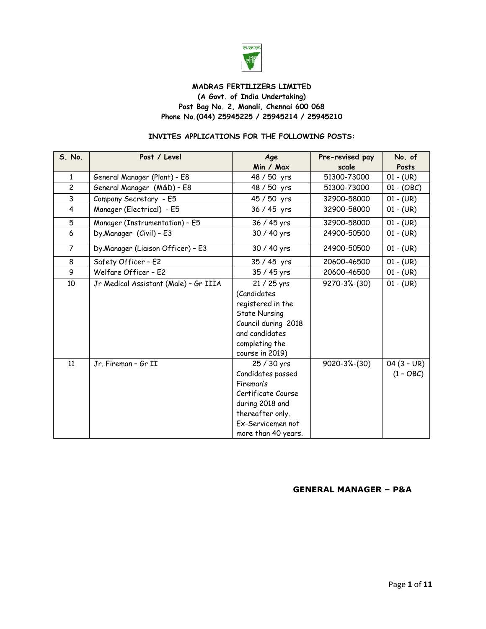

#### **MADRAS FERTILIZERS LIMITED (A Govt. of India Undertaking) Post Bag No. 2, Manali, Chennai 600 068 Phone No.(044) 25945225 / 25945214 / 25945210**

#### **INVITES APPLICATIONS FOR THE FOLLOWING POSTS:**

| S. No.         | Post / Level                          | Age                  | Pre-revised pay | No. of       |
|----------------|---------------------------------------|----------------------|-----------------|--------------|
|                |                                       | Min / Max            | scale           | Posts        |
| $\mathbf{1}$   | General Manager (Plant) - E8          | 48 / 50 yrs          | 51300-73000     | $01 - (UR)$  |
| $\overline{c}$ | General Manager (M&D) - E8            | 48 / 50 yrs          | 51300-73000     | $01 - (OBC)$ |
| 3              | Company Secretary - E5                | 45 / 50 yrs          | 32900-58000     | $01 - (UR)$  |
| 4              | Manager (Electrical) - E5             | 36 / 45 yrs          | 32900-58000     | $01 - (UR)$  |
| 5              | Manager (Instrumentation) - E5        | 36 / 45 yrs          | 32900-58000     | $01 - (UR)$  |
| 6              | Dy.Manager (Civil) - E3               | 30 / 40 yrs          | 24900-50500     | $01 - (UR)$  |
| 7              | Dy.Manager (Liaison Officer) - E3     | 30 / 40 yrs          | 24900-50500     | $01 - (UR)$  |
| 8              | Safety Officer - E2                   | 35 / 45 yrs          | 20600-46500     | $01 - (UR)$  |
| 9              | Welfare Officer - E2                  | 35 / 45 yrs          | 20600-46500     | $01 - (UR)$  |
| 10             | Jr Medical Assistant (Male) - Gr IIIA | 21 / 25 yrs          | 9270-3%-(30)    | $01 - (UR)$  |
|                |                                       | (Candidates          |                 |              |
|                |                                       | registered in the    |                 |              |
|                |                                       | <b>State Nursing</b> |                 |              |
|                |                                       | Council during 2018  |                 |              |
|                |                                       | and candidates       |                 |              |
|                |                                       | completing the       |                 |              |
|                |                                       | course in 2019)      |                 |              |
| 11             | Jr. Fireman - Gr II                   | 25 / 30 yrs          | 9020-3%-(30)    | $04(3 - UR)$ |
|                |                                       | Candidates passed    |                 | $(1 - OBC)$  |
|                |                                       | Fireman's            |                 |              |
|                |                                       | Certificate Course   |                 |              |
|                |                                       | during 2018 and      |                 |              |
|                |                                       | thereafter only.     |                 |              |
|                |                                       | Ex-Servicemen not    |                 |              |
|                |                                       | more than 40 years.  |                 |              |

#### **GENERAL MANAGER – P&A**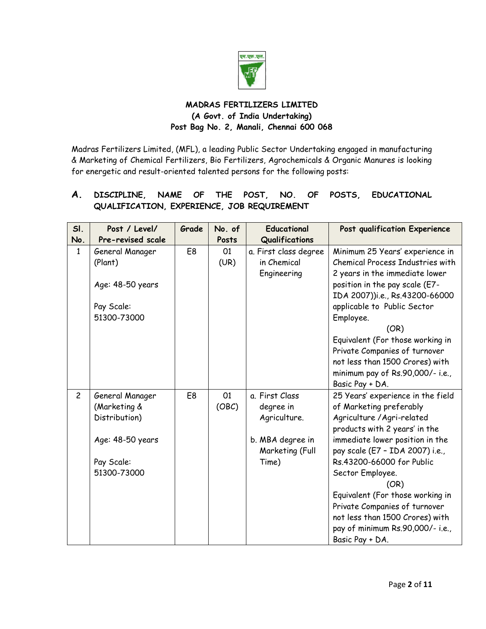

# **MADRAS FERTILIZERS LIMITED (A Govt. of India Undertaking) Post Bag No. 2, Manali, Chennai 600 068**

Madras Fertilizers Limited, (MFL), a leading Public Sector Undertaking engaged in manufacturing & Marketing of Chemical Fertilizers, Bio Fertilizers, Agrochemicals & Organic Manures is looking for energetic and result-oriented talented persons for the following posts:

# **A. DISCIPLINE, NAME OF THE POST, NO. OF POSTS, EDUCATIONAL QUALIFICATION, EXPERIENCE, JOB REQUIREMENT**

| SI.            | Post / Level/     | Grade          | No. of | <b>Educational</b>    | Post qualification Experience     |
|----------------|-------------------|----------------|--------|-----------------------|-----------------------------------|
| No.            | Pre-revised scale |                | Posts  | Qualifications        |                                   |
| $\mathbf{1}$   | General Manager   | E <sub>8</sub> | 01     | a. First class degree | Minimum 25 Years' experience in   |
|                | (Plant)           |                | (UR)   | in Chemical           | Chemical Process Industries with  |
|                |                   |                |        | Engineering           | 2 years in the immediate lower    |
|                | Age: 48-50 years  |                |        |                       | position in the pay scale (E7-    |
|                |                   |                |        |                       | IDA 2007))i.e., Rs.43200-66000    |
|                | Pay Scale:        |                |        |                       | applicable to Public Sector       |
|                | 51300-73000       |                |        |                       | Employee.                         |
|                |                   |                |        |                       | (OR)                              |
|                |                   |                |        |                       | Equivalent (For those working in  |
|                |                   |                |        |                       | Private Companies of turnover     |
|                |                   |                |        |                       | not less than 1500 Crores) with   |
|                |                   |                |        |                       | minimum pay of Rs.90,000/- i.e.,  |
|                |                   |                |        |                       | Basic Pay + DA.                   |
| $\overline{c}$ | General Manager   | E <sub>8</sub> | 01     | a. First Class        | 25 Years' experience in the field |
|                | (Marketing &      |                | (OBC)  | degree in             | of Marketing preferably           |
|                | Distribution)     |                |        | Agriculture.          | Agriculture / Agri-related        |
|                |                   |                |        |                       | products with 2 years' in the     |
|                | Age: 48-50 years  |                |        | b. MBA degree in      | immediate lower position in the   |
|                |                   |                |        | Marketing (Full       | pay scale (E7 - IDA 2007) i.e.,   |
|                | Pay Scale:        |                |        | Time)                 | Rs.43200-66000 for Public         |
|                | 51300-73000       |                |        |                       | Sector Employee.                  |
|                |                   |                |        |                       | (OR)                              |
|                |                   |                |        |                       | Equivalent (For those working in  |
|                |                   |                |        |                       | Private Companies of turnover     |
|                |                   |                |        |                       | not less than 1500 Crores) with   |
|                |                   |                |        |                       | pay of minimum Rs.90,000/- i.e.,  |
|                |                   |                |        |                       | Basic Pay + DA.                   |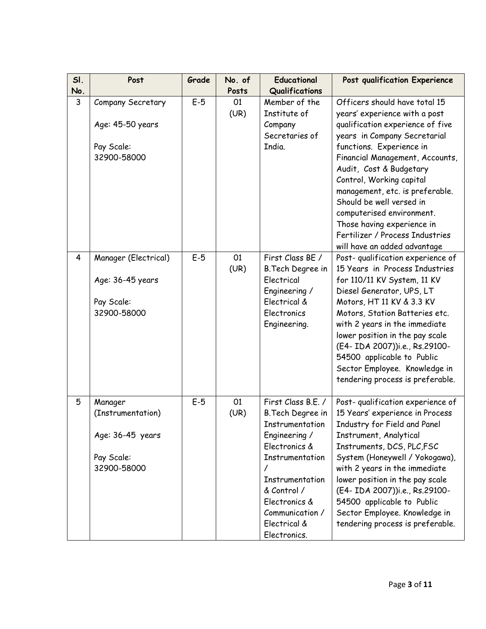| SI.                     | Post                                                                          | Grade | No. of     | <b>Educational</b>                                                                                                                                                                                                   | Post qualification Experience                                                                                                                                                                                                                                                                                                                                                                                                                         |
|-------------------------|-------------------------------------------------------------------------------|-------|------------|----------------------------------------------------------------------------------------------------------------------------------------------------------------------------------------------------------------------|-------------------------------------------------------------------------------------------------------------------------------------------------------------------------------------------------------------------------------------------------------------------------------------------------------------------------------------------------------------------------------------------------------------------------------------------------------|
| No.                     |                                                                               |       | Posts      | Qualifications                                                                                                                                                                                                       |                                                                                                                                                                                                                                                                                                                                                                                                                                                       |
| $\mathbf{3}$            | Company Secretary<br>Age: 45-50 years<br>Pay Scale:<br>32900-58000            | $E-5$ | 01<br>(UR) | Member of the<br>Institute of<br>Company<br>Secretaries of<br>India.                                                                                                                                                 | Officers should have total 15<br>years' experience with a post<br>qualification experience of five<br>years in Company Secretarial<br>functions. Experience in<br>Financial Management, Accounts,<br>Audit, Cost & Budgetary<br>Control, Working capital<br>management, etc. is preferable.<br>Should be well versed in<br>computerised environment.<br>Those having experience in<br>Fertilizer / Process Industries<br>will have an added advantage |
| $\overline{\mathbf{4}}$ | Manager (Electrical)<br>Age: 36-45 years<br>Pay Scale:<br>32900-58000         | $E-5$ | 01<br>(UR) | First Class BE /<br>B. Tech Degree in<br>Electrical<br>Engineering /<br>Electrical &<br>Electronics<br>Engineering.                                                                                                  | Post-qualification experience of<br>15 Years in Process Industries<br>for 110/11 KV System, 11 KV<br>Diesel Generator, UPS, LT<br>Motors, HT 11 KV & 3.3 KV<br>Motors, Station Batteries etc.<br>with 2 years in the immediate<br>lower position in the pay scale<br>(E4- IDA 2007))i.e., Rs.29100-<br>54500 applicable to Public<br>Sector Employee. Knowledge in<br>tendering process is preferable.                                                |
| 5                       | Manager<br>(Instrumentation)<br>Age: 36-45 years<br>Pay Scale:<br>32900-58000 | $E-5$ | 01<br>(UR) | First Class B.E. /<br>B.Tech Degree in<br>Instrumentation<br>Engineering /<br>Electronics &<br>Instrumentation<br>Instrumentation<br>& Control /<br>Electronics &<br>Communication /<br>Electrical &<br>Electronics. | Post-qualification experience of<br>15 Years' experience in Process<br>Industry for Field and Panel<br>Instrument, Analytical<br>Instruments, DCS, PLC, FSC<br>System (Honeywell / Yokogawa),<br>with 2 years in the immediate<br>lower position in the pay scale<br>(E4- IDA 2007))i.e., Rs.29100-<br>54500 applicable to Public<br>Sector Employee. Knowledge in<br>tendering process is preferable.                                                |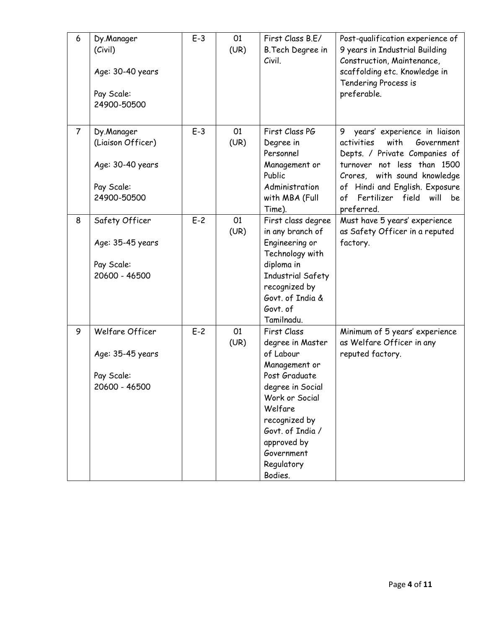| 6              | Dy.Manager<br>(Civil)<br>Age: 30-40 years<br>Pay Scale:<br>24900-50500           | $E-3$ | 01<br>(UR) | First Class B.E/<br>B.Tech Degree in<br>Civil.                                                                                                                                                                             | Post-qualification experience of<br>9 years in Industrial Building<br>Construction, Maintenance,<br>scaffolding etc. Knowledge in<br>Tendering Process is<br>preferable.                                                                                   |
|----------------|----------------------------------------------------------------------------------|-------|------------|----------------------------------------------------------------------------------------------------------------------------------------------------------------------------------------------------------------------------|------------------------------------------------------------------------------------------------------------------------------------------------------------------------------------------------------------------------------------------------------------|
| $\overline{7}$ | Dy.Manager<br>(Liaison Officer)<br>Age: 30-40 years<br>Pay Scale:<br>24900-50500 | $E-3$ | 01<br>(UR) | First Class PG<br>Degree in<br>Personnel<br>Management or<br>Public<br>Administration<br>with MBA (Full<br>Time).                                                                                                          | years' experience in liaison<br>9<br>with<br>Government<br>activities<br>Depts. / Private Companies of<br>turnover not less than 1500<br>Crores, with sound knowledge<br>of Hindi and English. Exposure<br>Fertilizer field will<br>of<br>be<br>preferred. |
| 8              | Safety Officer<br>Age: 35-45 years<br>Pay Scale:<br>20600 - 46500                | $E-2$ | 01<br>(UR) | First class degree<br>in any branch of<br>Engineering or<br>Technology with<br>diploma in<br>Industrial Safety<br>recognized by<br>Govt. of India &<br>Govt. of<br>Tamilnadu.                                              | Must have 5 years' experience<br>as Safety Officer in a reputed<br>factory.                                                                                                                                                                                |
| 9              | Welfare Officer<br>Age: 35-45 years<br>Pay Scale:<br>20600 - 46500               | $E-2$ | 01<br>(UR) | First Class<br>degree in Master<br>of Labour<br>Management or<br>Post Graduate<br>degree in Social<br>Work or Social<br>Welfare<br>recognized by<br>Govt. of India /<br>approved by<br>Government<br>Regulatory<br>Bodies. | Minimum of 5 years' experience<br>as Welfare Officer in any<br>reputed factory.                                                                                                                                                                            |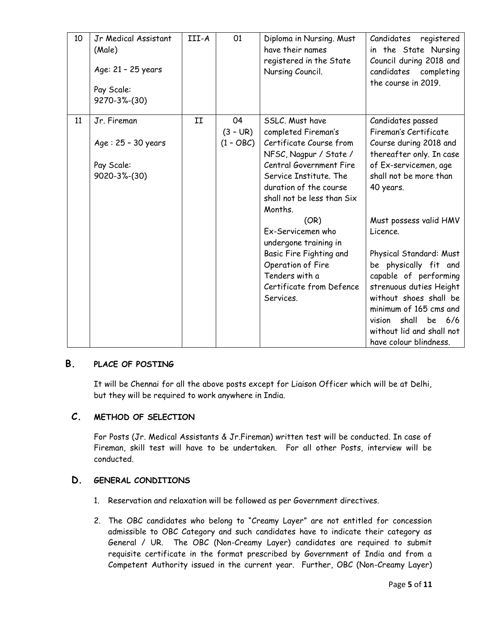| 10 | Jr Medical Assistant<br>(Male)<br>Age: 21 - 25 years<br>Pay Scale:<br>9270-3%-(30) | III-A | 01                              | Diploma in Nursing. Must<br>have their names<br>registered in the State<br>Nursing Council.                                                                                                                                                                                                                                                                                                 | Candidates<br>registered<br>in the State Nursing<br>Council during 2018 and<br>candidates completing<br>the course in 2019.                                                                                                                                                                                                                                                                                                                            |
|----|------------------------------------------------------------------------------------|-------|---------------------------------|---------------------------------------------------------------------------------------------------------------------------------------------------------------------------------------------------------------------------------------------------------------------------------------------------------------------------------------------------------------------------------------------|--------------------------------------------------------------------------------------------------------------------------------------------------------------------------------------------------------------------------------------------------------------------------------------------------------------------------------------------------------------------------------------------------------------------------------------------------------|
| 11 | Jr. Fireman<br>Age: 25 - 30 years<br>Pay Scale:<br>9020-3%-(30)                    | II    | 04<br>$(3 - UR)$<br>$(1 - OBC)$ | SSLC. Must have<br>completed Fireman's<br>Certificate Course from<br>NFSC, Nagpur / State /<br><b>Central Government Fire</b><br>Service Institute. The<br>duration of the course<br>shall not be less than Six<br>Months.<br>(OR)<br>Ex-Servicemen who<br>undergone training in<br>Basic Fire Fighting and<br>Operation of Fire<br>Tenders with a<br>Certificate from Defence<br>Services. | Candidates passed<br>Fireman's Certificate<br>Course during 2018 and<br>thereafter only. In case<br>of Ex-servicemen, age<br>shall not be more than<br>40 years.<br>Must possess valid HMV<br>Licence.<br>Physical Standard: Must<br>be physically fit and<br>capable of performing<br>strenuous duties Height<br>without shoes shall be<br>minimum of 165 cms and<br>shall<br>be 6/6<br>vision<br>without lid and shall not<br>have colour blindness. |

## **B. PLACE OF POSTING**

It will be Chennai for all the above posts except for Liaison Officer which will be at Delhi, but they will be required to work anywhere in India.

### **C. METHOD OF SELECTION**

For Posts (Jr. Medical Assistants & Jr.Fireman) written test will be conducted. In case of Fireman, skill test will have to be undertaken. For all other Posts, interview will be conducted.

### **D. GENERAL CONDITIONS**

- 1. Reservation and relaxation will be followed as per Government directives.
- 2. The OBC candidates who belong to "Creamy Layer" are not entitled for concession admissible to OBC Category and such candidates have to indicate their category as General / UR. The OBC (Non-Creamy Layer) candidates are required to submit requisite certificate in the format prescribed by Government of India and from a Competent Authority issued in the current year. Further, OBC (Non-Creamy Layer)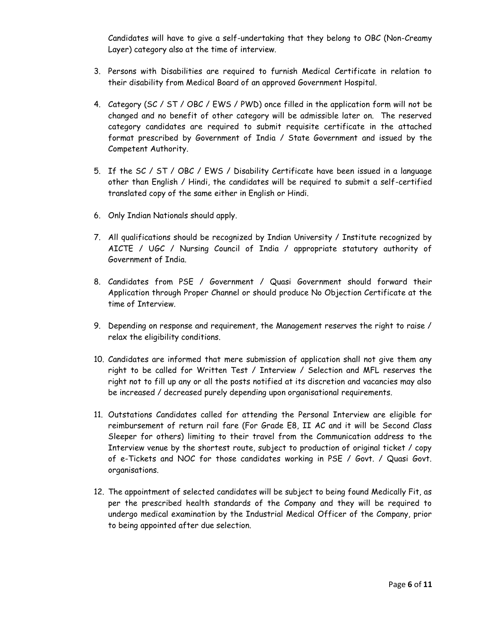Candidates will have to give a self-undertaking that they belong to OBC (Non-Creamy Layer) category also at the time of interview.

- 3. Persons with Disabilities are required to furnish Medical Certificate in relation to their disability from Medical Board of an approved Government Hospital.
- 4. Category (SC / ST / OBC / EWS / PWD) once filled in the application form will not be changed and no benefit of other category will be admissible later on. The reserved category candidates are required to submit requisite certificate in the attached format prescribed by Government of India / State Government and issued by the Competent Authority.
- 5. If the SC / ST / OBC / EWS / Disability Certificate have been issued in a language other than English / Hindi, the candidates will be required to submit a self-certified translated copy of the same either in English or Hindi.
- 6. Only Indian Nationals should apply.
- 7. All qualifications should be recognized by Indian University / Institute recognized by AICTE / UGC / Nursing Council of India / appropriate statutory authority of Government of India.
- 8. Candidates from PSE / Government / Quasi Government should forward their Application through Proper Channel or should produce No Objection Certificate at the time of Interview.
- 9. Depending on response and requirement, the Management reserves the right to raise / relax the eligibility conditions.
- 10. Candidates are informed that mere submission of application shall not give them any right to be called for Written Test / Interview / Selection and MFL reserves the right not to fill up any or all the posts notified at its discretion and vacancies may also be increased / decreased purely depending upon organisational requirements.
- 11. Outstations Candidates called for attending the Personal Interview are eligible for reimbursement of return rail fare (For Grade E8, II AC and it will be Second Class Sleeper for others) limiting to their travel from the Communication address to the Interview venue by the shortest route, subject to production of original ticket / copy of e-Tickets and NOC for those candidates working in PSE / Govt. / Quasi Govt. organisations.
- 12. The appointment of selected candidates will be subject to being found Medically Fit, as per the prescribed health standards of the Company and they will be required to undergo medical examination by the Industrial Medical Officer of the Company, prior to being appointed after due selection.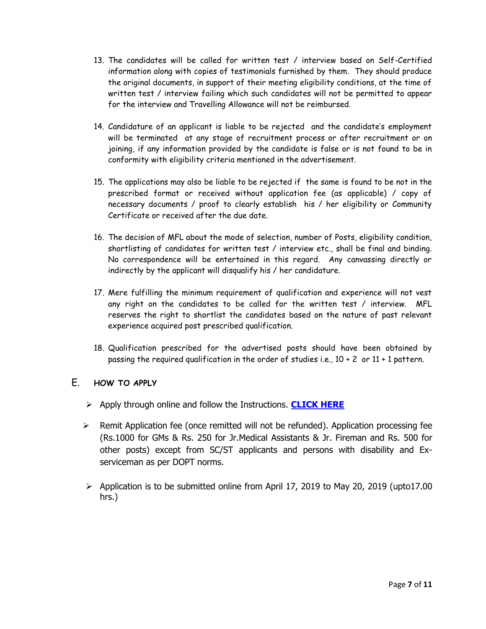- 13. The candidates will be called for written test / interview based on Self-Certified information along with copies of testimonials furnished by them. They should produce the original documents, in support of their meeting eligibility conditions, at the time of written test / interview failing which such candidates will not be permitted to appear for the interview and Travelling Allowance will not be reimbursed.
- 14. Candidature of an applicant is liable to be rejected and the candidate's employment will be terminated at any stage of recruitment process or after recruitment or on joining, if any information provided by the candidate is false or is not found to be in conformity with eligibility criteria mentioned in the advertisement.
- 15. The applications may also be liable to be rejected if the same is found to be not in the prescribed format or received without application fee (as applicable) / copy of necessary documents / proof to clearly establish his / her eligibility or Community Certificate or received after the due date.
- 16. The decision of MFL about the mode of selection, number of Posts, eligibility condition, shortlisting of candidates for written test / interview etc., shall be final and binding. No correspondence will be entertained in this regard. Any canvassing directly or indirectly by the applicant will disqualify his / her candidature.
- 17. Mere fulfilling the minimum requirement of qualification and experience will not vest any right on the candidates to be called for the written test / interview. MFL reserves the right to shortlist the candidates based on the nature of past relevant experience acquired post prescribed qualification.
- 18. Qualification prescribed for the advertised posts should have been obtained by passing the required qualification in the order of studies i.e., 10 + 2 or 11 + 1 pattern.

### E. **HOW TO APPLY**

- Apply through online and follow the Instructions. **[CLICK HERE](https://madflizer.online-ap1.com/)**
- $\triangleright$  Remit Application fee (once remitted will not be refunded). Application processing fee (Rs.1000 for GMs & Rs. 250 for Jr.Medical Assistants & Jr. Fireman and Rs. 500 for other posts) except from SC/ST applicants and persons with disability and Exserviceman as per DOPT norms.
- $\triangleright$  Application is to be submitted online from April 17, 2019 to May 20, 2019 (upto17.00 hrs.)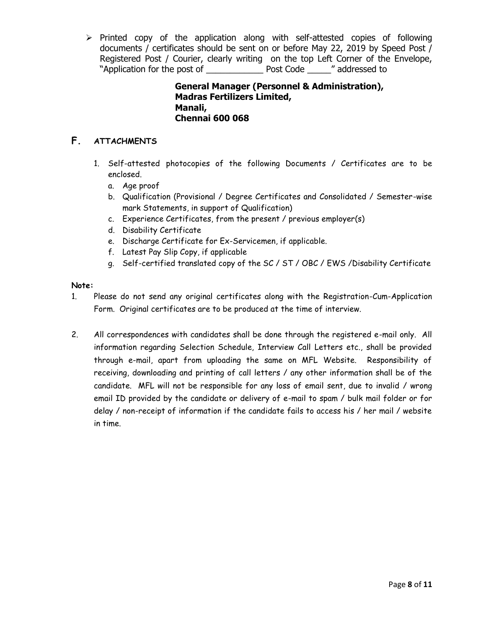$\triangleright$  Printed copy of the application along with self-attested copies of following documents / certificates should be sent on or before May 22, 2019 by Speed Post / Registered Post / Courier, clearly writing on the top Left Corner of the Envelope, "Application for the post of \_\_\_\_\_\_\_\_\_\_\_\_ Post Code \_\_\_\_\_" addressed to

> **General Manager (Personnel & Administration), Madras Fertilizers Limited, Manali, Chennai 600 068**

# **F. ATTACHMENTS**

- 1. Self-attested photocopies of the following Documents / Certificates are to be enclosed.
	- a. Age proof
	- b. Qualification (Provisional / Degree Certificates and Consolidated / Semester-wise mark Statements, in support of Qualification)
	- c. Experience Certificates, from the present / previous employer(s)
	- d. Disability Certificate
	- e. Discharge Certificate for Ex-Servicemen, if applicable.
	- f. Latest Pay Slip Copy, if applicable
	- g. Self-certified translated copy of the SC / ST / OBC / EWS /Disability Certificate

#### **Note:**

- 1. Please do not send any original certificates along with the Registration-Cum-Application Form. Original certificates are to be produced at the time of interview.
- 2. All correspondences with candidates shall be done through the registered e-mail only. All information regarding Selection Schedule, Interview Call Letters etc., shall be provided through e-mail, apart from uploading the same on MFL Website. Responsibility of receiving, downloading and printing of call letters / any other information shall be of the candidate. MFL will not be responsible for any loss of email sent, due to invalid / wrong email ID provided by the candidate or delivery of e-mail to spam / bulk mail folder or for delay / non-receipt of information if the candidate fails to access his / her mail / website in time.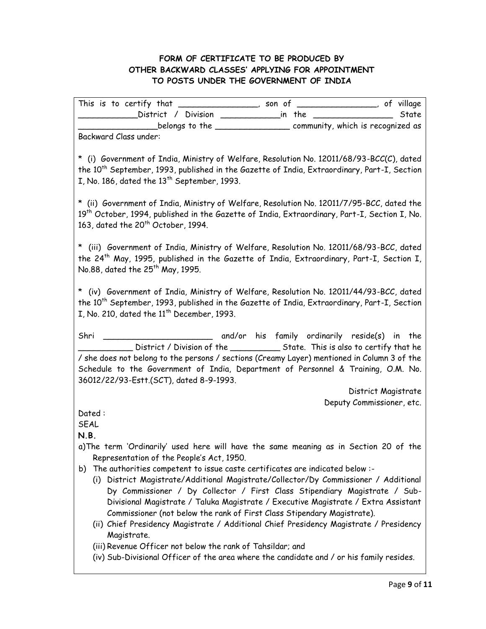## **FORM OF CERTIFICATE TO BE PRODUCED BY OTHER BACKWARD CLASSES' APPLYING FOR APPOINTMENT TO POSTS UNDER THE GOVERNMENT OF INDIA**

This is to certify that \_\_\_\_\_\_\_\_\_\_\_\_\_\_, son of \_\_\_\_\_\_\_\_\_\_\_\_, of village \_\_\_\_\_\_\_\_\_\_\_\_District / Division \_\_\_\_\_\_\_\_\_\_\_\_in the \_\_\_\_\_\_\_\_\_\_\_\_\_\_\_\_ State \_\_\_\_\_\_\_\_\_\_\_\_\_\_\_\_belongs to the \_\_\_\_\_\_\_\_\_\_\_\_\_\_\_ community, which is recognized as Backward Class under:

\* (i) Government of India, Ministry of Welfare, Resolution No. 12011/68/93-BCC(C), dated the 10<sup>th</sup> September, 1993, published in the Gazette of India, Extraordinary, Part-I, Section I, No. 186, dated the  $13<sup>th</sup>$  September, 1993.

\* (ii) Government of India, Ministry of Welfare, Resolution No. 12011/7/95-BCC, dated the 19<sup>th</sup> October, 1994, published in the Gazette of India, Extraordinary, Part-I, Section I, No. 163, dated the  $20^{th}$  October, 1994.

\* (iii) Government of India, Ministry of Welfare, Resolution No. 12011/68/93-BCC, dated the 24<sup>th</sup> May, 1995, published in the Gazette of India, Extraordinary, Part-I, Section I, No.88, dated the  $25^{th}$  May, 1995.

\* (iv) Government of India, Ministry of Welfare, Resolution No. 12011/44/93-BCC, dated the 10<sup>th</sup> September, 1993, published in the Gazette of India, Extraordinary, Part-I, Section I, No. 210, dated the  $11<sup>th</sup>$  December, 1993.

Shri \_\_\_\_\_\_\_\_\_\_\_\_\_\_\_\_\_\_\_\_\_\_ and/or his family ordinarily reside(s) in the \_\_\_\_\_\_\_\_\_\_\_ District / Division of the \_\_\_\_\_\_\_\_\_\_ State. This is also to certify that he / she does not belong to the persons / sections (Creamy Layer) mentioned in Column 3 of the Schedule to the Government of India, Department of Personnel & Training, O.M. No. 36012/22/93-Estt.(SCT), dated 8-9-1993.

> District Magistrate Deputy Commissioner, etc.

Dated :

**SEAL** 

**N.B.** 

- a)The term 'Ordinarily' used here will have the same meaning as in Section 20 of the Representation of the People's Act, 1950.
- b) The authorities competent to issue caste certificates are indicated below :-
	- (i) District Magistrate/Additional Magistrate/Collector/Dy Commissioner / Additional Dy Commissioner / Dy Collector / First Class Stipendiary Magistrate / Sub-Divisional Magistrate / Taluka Magistrate / Executive Magistrate / Extra Assistant Commissioner (not below the rank of First Class Stipendary Magistrate).
	- (ii) Chief Presidency Magistrate / Additional Chief Presidency Magistrate / Presidency Magistrate.
	- (iii) Revenue Officer not below the rank of Tahsildar; and
	- (iv) Sub-Divisional Officer of the area where the candidate and / or his family resides.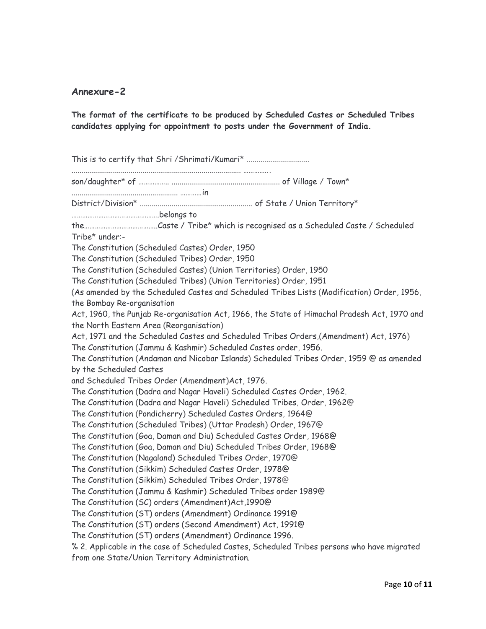### **Annexure-2**

**The format of the certificate to be produced by Scheduled Castes or Scheduled Tribes candidates applying for appointment to posts under the Government of India.**

This is to certify that Shri / Shrimati/Kumari\* ................................ ...................................................................................... …………... son/daughter\* of …………….. ....................................................... of Village / Town\* ...................................................... …………in District/Division\* ......................................................... of State / Union Territory\* ………………………………………….belongs to the…………………………………..Caste / Tribe\* which is recognised as a Scheduled Caste / Scheduled Tribe\* under:- The Constitution (Scheduled Castes) Order, 1950 The Constitution (Scheduled Tribes) Order, 1950 The Constitution (Scheduled Castes) (Union Territories) Order, 1950 The Constitution (Scheduled Tribes) (Union Territories) Order, 1951 (As amended by the Scheduled Castes and Scheduled Tribes Lists (Modification) Order, 1956, the Bombay Re-organisation Act, 1960, the Punjab Re-organisation Act, 1966, the State of Himachal Pradesh Act, 1970 and the North Eastern Area (Reorganisation) Act, 1971 and the Scheduled Castes and Scheduled Tribes Orders,(Amendment) Act, 1976) The Constitution (Jammu & Kashmir) Scheduled Castes order, 1956. The Constitution (Andaman and Nicobar Islands) Scheduled Tribes Order, 1959 @ as amended by the Scheduled Castes and Scheduled Tribes Order (Amendment)Act, 1976. The Constitution (Dadra and Nagar Haveli) Scheduled Castes Order, 1962. The Constitution (Dadra and Nagar Haveli) Scheduled Tribes, Order, 1962@ The Constitution (Pondicherry) Scheduled Castes Orders, 1964@ The Constitution (Scheduled Tribes) (Uttar Pradesh) Order, 1967@ The Constitution (Goa, Daman and Diu) Scheduled Castes Order, 1968@ The Constitution (Goa, Daman and Diu) Scheduled Tribes Order, 1968@ The Constitution (Nagaland) Scheduled Tribes Order, 1970@ The Constitution (Sikkim) Scheduled Castes Order, 1978@ The Constitution (Sikkim) Scheduled Tribes Order, 1978@ The Constitution (Jammu & Kashmir) Scheduled Tribes order 1989@ The Constitution (SC) orders (Amendment)Act,1990@ The Constitution (ST) orders (Amendment) Ordinance 1991@ The Constitution (ST) orders (Second Amendment) Act, 1991@ The Constitution (ST) orders (Amendment) Ordinance 1996. % 2. Applicable in the case of Scheduled Castes, Scheduled Tribes persons who have migrated from one State/Union Territory Administration.